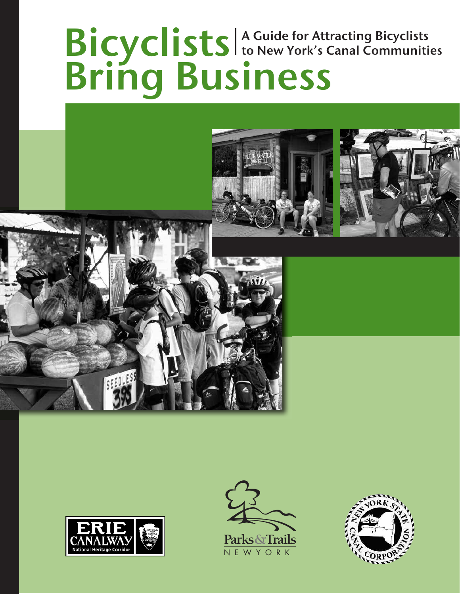## Bicyclists Bring Business A Guide for Attracting Bicyclists to New York's Canal Communities







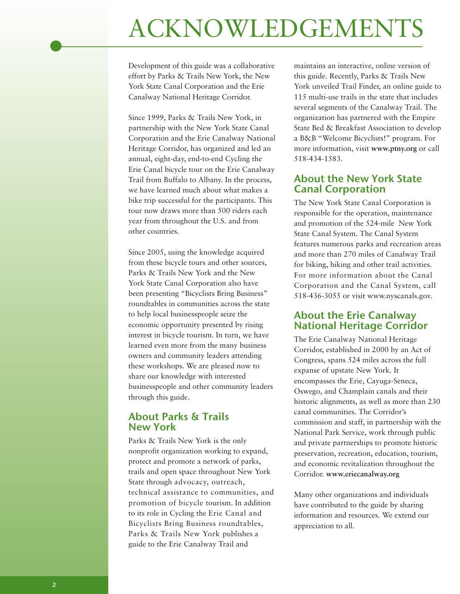## ACKNOWLEDGEMENTS

Development of this guide was a collaborative effort by Parks & Trails New York, the New York State Canal Corporation and the Erie Canalway National Heritage Corridor.

Since 1999, Parks & Trails New York, in partnership with the New York State Canal Corporation and the Erie Canalway National Heritage Corridor, has organized and led an annual, eight-day, end-to-end Cycling the Erie Canal bicycle tour on the Erie Canalway Trail from Buffalo to Albany. In the process, we have learned much about what makes a bike trip successful for the participants. This tour now draws more than 500 riders each year from throughout the U.S. and from other countries.

Since 2005, using the knowledge acquired from these bicycle tours and other sources, Parks & Trails New York and the New York State Canal Corporation also have been presenting "Bicyclists Bring Business" roundtables in communities across the state to help local businesspeople seize the economic opportunity presented by rising interest in bicycle tourism. In turn, we have learned even more from the many business owners and community leaders attending these workshops. We are pleased now to share our knowledge with interested businesspeople and other community leaders through this guide.

#### About Parks & Trails New York

Parks & Trails New York is the only nonprofit organization working to expand, protect and promote a network of parks, trails and open space throughout New York State through advocacy, outreach, technical assistance to communities, and promotion of bicycle tourism. In addition to its role in Cycling the Erie Canal and Bicyclists Bring Business roundtables, Parks & Trails New York publishes a guide to the Erie Canalway Trail and

maintains an interactive, online version of this guide. Recently, Parks & Trails New York unveiled Trail Finder, an online guide to 115 multi-use trails in the state that includes several segments of the Canalway Trail. The organization has partnered with the Empire State Bed & Breakfast Association to develop a B&B "Welcome Bicyclists!" program. For more information, visit **www.ptny.org** or call 518-434-1583.

#### About the New York State Canal Corporation

The New York State Canal Corporation is responsible for the operation, maintenance and promotion of the 524-mile New York State Canal System. The Canal System features numerous parks and recreation areas and more than 270 miles of Canalway Trail for biking, hiking and other trail activities. For more information about the Canal Corporation and the Canal System, call 518-436-3055 or visit www.nyscanals.gov.

#### About the Erie Canalway National Heritage Corridor

The Erie Canalway National Heritage Corridor, established in 2000 by an Act of Congress, spans 524 miles across the full expanse of upstate New York. It encompasses the Erie, Cayuga-Seneca, Oswego, and Champlain canals and their historic alignments, as well as more than 230 canal communities. The Corridor's commission and staff, in partnership with the National Park Service, work through public and private partnerships to promote historic preservation, recreation, education, tourism, and economic revitalization throughout the Corridor. **www.eriecanalway.org**

Many other organizations and individuals have contributed to the guide by sharing information and resources. We extend our appreciation to all.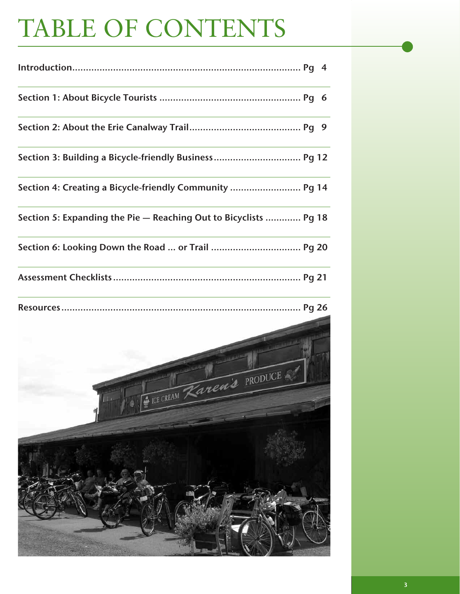# TABLE OF CONTENTS

| Section 3: Building a Bicycle-friendly Business Pg 12            |  |
|------------------------------------------------------------------|--|
| Section 4: Creating a Bicycle-friendly Community  Pg 14          |  |
| Section 5: Expanding the Pie - Reaching Out to Bicyclists  Pg 18 |  |
| Section 6: Looking Down the Road  or Trail  Pg 20                |  |
|                                                                  |  |
|                                                                  |  |
| Karen's PRODUCE                                                  |  |
|                                                                  |  |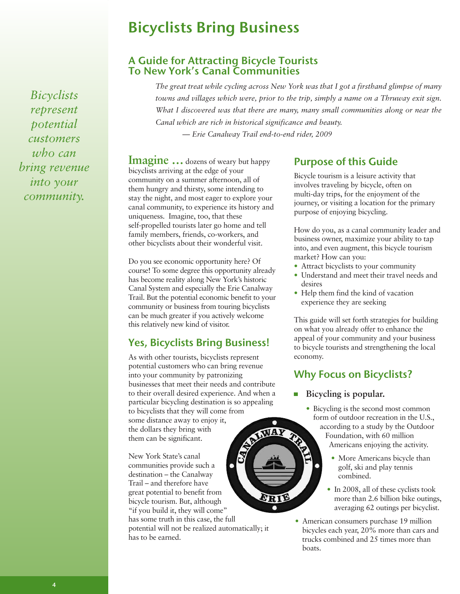## Bicyclists Bring Business

#### A Guide for Attracting Bicycle Tourists To New York's Canal Communities

*The great treat while cycling across New York was that I got a firsthand glimpse of many towns and villages which were, prior to the trip, simply a name on a Thruway exit sign. What I discovered was that there are many, many small communities along or near the Canal which are rich in historical significance and beauty. — Erie Canalway Trail end-to-end rider, 2009*

**Imagine** ... dozens of weary but happy bicyclists arriving at the edge of your community on a summer afternoon, all of them hungry and thirsty, some intending to stay the night, and most eager to explore your canal community, to experience its history and uniqueness. Imagine, too, that these self-propelled tourists later go home and tell family members, friends, co-workers, and other bicyclists about their wonderful visit.

Do you see economic opportunity here? Of course! To some degree this opportunity already has become reality along New York's historic Canal System and especially the Erie Canalway Trail. But the potential economic benefit to your community or business from touring bicyclists can be much greater if you actively welcome this relatively new kind of visitor.

## Yes, Bicyclists Bring Business!

As with other tourists, bicyclists represent potential customers who can bring revenue into your community by patronizing businesses that meet their needs and contribute to their overall desired experience. And when a particular bicycling destination is so appealing to bicyclists that they will come from<br>some distance away to enjoy it,<br>the dollars they bring with<br>them can be significant.<br>New York State's canal<br>communities some distance away to enjoy it, the dollars they bring with them can be significant.

New York State's canal communities provide such a destination – the Canalway Trail – and therefore have great potential to benefit from bicycle tourism. But, although "if you build it, they will come" has some truth in this case, the full potential will not be realized automatically; it has to be earned.

ERIE

## Purpose of this Guide

Bicycle tourism is a leisure activity that involves traveling by bicycle, often on multi-day trips, for the enjoyment of the journey, or visiting a location for the primary purpose of enjoying bicycling.

How do you, as a canal community leader and business owner, maximize your ability to tap into, and even augment, this bicycle tourism market? How can you:

- Attract bicyclists to your community
- Understand and meet their travel needs and desires
- Help them find the kind of vacation experience they are seeking

This guide will set forth strategies for building on what you already offer to enhance the appeal of your community and your business to bicycle tourists and strengthening the local economy.

## Why Focus on Bicyclists?

#### **Bicycling is popular.**

- Bicycling is the second most common form of outdoor recreation in the U.S., according to a study by the Outdoor Foundation, with 60 million Americans enjoying the activity.
	- More Americans bicycle than golf, ski and play tennis combined.
	- In 2008, all of these cyclists took more than 2.6 billion bike outings, averaging 62 outings per bicyclist.
- American consumers purchase 19 million bicycles each year, 20% more than cars and trucks combined and 25 times more than boats.

*Bicyclists represent potential customers who can bring revenue into your community.*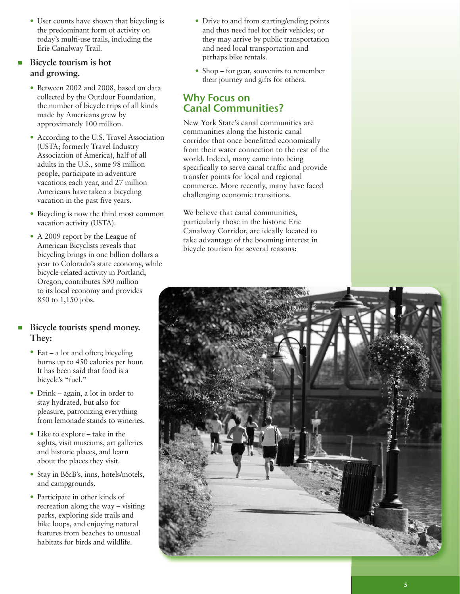• User counts have shown that bicycling is the predominant form of activity on today's multi-use trails, including the Erie Canalway Trail.

#### **Bicycle tourism is hot and growing.**

- Between 2002 and 2008, based on data collected by the Outdoor Foundation, the number of bicycle trips of all kinds made by Americans grew by approximately 100 million.
- According to the U.S. Travel Association (USTA; formerly Travel Industry Association of America), half of all adults in the U.S., some 98 million people, participate in adventure vacations each year, and 27 million Americans have taken a bicycling vacation in the past five years.
- Bicycling is now the third most common vacation activity (USTA).
- A 2009 report by the League of American Bicyclists reveals that bicycling brings in one billion dollars a year to Colorado's state economy, while bicycle-related activity in Portland, Oregon, contributes \$90 million to its local economy and provides 850 to 1,150 jobs.

#### **Bicycle tourists spend money. They:**

- Eat a lot and often; bicycling burns up to 450 calories per hour. It has been said that food is a bicycle's "fuel."
- Drink again, a lot in order to stay hydrated, but also for pleasure, patronizing everything from lemonade stands to wineries.
- Like to explore take in the sights, visit museums, art galleries and historic places, and learn about the places they visit.
- Stay in B&B's, inns, hotels/motels, and campgrounds.
- Participate in other kinds of recreation along the way – visiting parks, exploring side trails and bike loops, and enjoying natural features from beaches to unusual habitats for birds and wildlife.
- Drive to and from starting/ending points and thus need fuel for their vehicles; or they may arrive by public transportation and need local transportation and perhaps bike rentals.
- Shop for gear, souvenirs to remember their journey and gifts for others.

#### Why Focus on Canal Communities?

New York State's canal communities are communities along the historic canal corridor that once benefitted economically from their water connection to the rest of the world. Indeed, many came into being specifically to serve canal traffic and provide transfer points for local and regional commerce. More recently, many have faced challenging economic transitions.

We believe that canal communities, particularly those in the historic Erie Canalway Corridor, are ideally located to take advantage of the booming interest in bicycle tourism for several reasons:

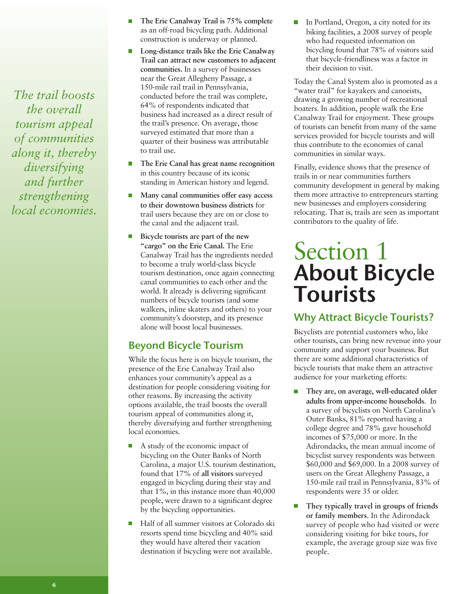*The trail boosts the overall tourism appeal of communities along it, thereby diversifying and further strengthening local economies.*

- **The Erie Canalway Trail is 75% complete** П as an off-road bicycling path. Additional construction is underway or planned.
- **Long-distance trails like the Erie Canalway**  $\Box$ **Trail can attract new customers to adjacent communities.** In a survey of businesses near the Great Allegheny Passage, a 150-mile rail trail in Pennsylvania, conducted before the trail was complete, 64% of respondents indicated that business had increased as a direct result of the trail's presence. On average, those surveyed estimated that more than a quarter of their business was attributable to trail use.
- **The Erie Canal has great name recognition** in this country because of its iconic standing in American history and legend.
- **Many canal communities offer easy access to their downtown business districts** for trail users because they are on or close to the canal and the adjacent trail.
- $\overline{\phantom{a}}$ **Bicycle tourists are part of the new "cargo" on the Erie Canal.** The Erie Canalway Trail has the ingredients needed to become a truly world-class bicycle tourism destination, once again connecting canal communities to each other and the world. It already is delivering significant numbers of bicycle tourists (and some walkers, inline skaters and others) to your community's doorstep, and its presence alone will boost local businesses.

### Beyond Bicycle Tourism

While the focus here is on bicycle tourism, the presence of the Erie Canalway Trail also enhances your community's appeal as a destination for people considering visiting for other reasons. By increasing the activity options available, the trail boosts the overall tourism appeal of communities along it, thereby diversifying and further strengthening local economies.

- A study of the economic impact of bicycling on the Outer Banks of North Carolina, a major U.S. tourism destination, found that 17% of **all visitors** surveyed engaged in bicycling during their stay and that 1%, in this instance more than 40,000 people, were drawn to a significant degree by the bicycling opportunities.
- Half of all summer visitors at Colorado ski resorts spend time bicycling and 40% said they would have altered their vacation destination if bicycling were not available.

In Portland, Oregon, a city noted for its biking facilities, a 2008 survey of people who had requested information on bicycling found that 78% of visitors said that bicycle-friendliness was a factor in their decision to visit.

Today the Canal System also is promoted as a "water trail" for kayakers and canoeists, drawing a growing number of recreational boaters. In addition, people walk the Erie Canalway Trail for enjoyment. These groups of tourists can benefit from many of the same services provided for bicycle tourists and will thus contribute to the economies of canal communities in similar ways.

Finally, evidence shows that the presence of trails in or near communities furthers community development in general by making them more attractive to entrepreneurs starting new businesses and employers considering relocating. That is, trails are seen as important contributors to the quality of life.

## Section 1 About Bicycle Tourists

## Why Attract Bicycle Tourists?

Bicyclists are potential customers who, like other tourists, can bring new revenue into your community and support your business. But there are some additional characteristics of bicycle tourists that make them an attractive audience for your marketing efforts:

- $\overline{\phantom{a}}$ **They are, on average, well-educated older adults from upper-income households**. In a survey of bicyclists on North Carolina's Outer Banks, 81% reported having a college degree and 78% gave household incomes of \$75,000 or more. In the Adirondacks, the mean annual income of bicyclist survey respondents was between \$60,000 and \$69,000. In a 2008 survey of users on the Great Allegheny Passage, a 150-mile rail trail in Pennsylvania, 83% of respondents were 35 or older.
- $\Box$ **They typically travel in groups of friends or family members**. In the Adirondack survey of people who had visited or were considering visiting for bike tours, for example, the average group size was five people.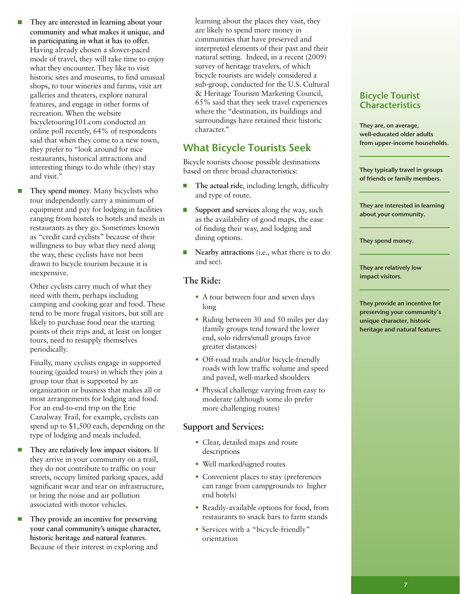- **They are interested in learning about your community and what makes it unique, and in participating in what it has to offer.** Having already chosen a slower-paced mode of travel, they will take time to enjoy what they encounter. They like to visit historic sites and museums, to find unusual shops, to tour wineries and farms, visit art galleries and theaters, explore natural features, and engage in other forms of recreation. When the website bicycletouring101.com conducted an online poll recently, 64% of respondents said that when they come to a new town, they prefer to "look around for nice restaurants, historical attractions and interesting things to do while (they) stay and visit."
- П **They spend money**. Many bicyclists who tour independently carry a minimum of equipment and pay for lodging in facilities ranging from hostels to hotels and meals in restaurants as they go. Sometimes known as "credit card cyclists" because of their willingness to buy what they need along the way, these cyclists have not been drawn to bicycle tourism because it is inexpensive.

Other cyclists carry much of what they need with them, perhaps including camping and cooking gear and food. These tend to be more frugal visitors, but still are likely to purchase food near the starting points of their trips and, at least on longer tours, need to resupply themselves periodically.

Finally, many cyclists engage in supported touring (guided tours) in which they join a group tour that is supported by an organization or business that makes all or most arrangements for lodging and food. For an end-to-end trip on the Erie Canalway Trail, for example, cyclists can spend up to \$1,500 each, depending on the type of lodging and meals included.

- **They are relatively low impact visitors**. If they arrive in your community on a trail, they do not contribute to traffic on your streets, occupy limited parking spaces, add significant wear and tear on infrastructure, or bring the noise and air pollution associated with motor vehicles.
- **They provide an incentive for preserving your canal community's unique character, historic heritage and natural features**. Because of their interest in exploring and

learning about the places they visit, they are likely to spend more money in communities that have preserved and interpreted elements of their past and their natural setting. Indeed, in a recent (2009) survey of heritage travelers, of which bicycle tourists are widely considered a sub-group, conducted for the U.S. Cultural & Heritage Tourism Marketing Council, 65% said that they seek travel experiences where the "destination, its buildings and surroundings have retained their historic character."

### What Bicycle Tourists Seek

Bicycle tourists choose possible destinations based on three broad characteristics:

- **The actual ride**, including length, difficulty and type of route.
- **Support and services** along the way, such as the availability of good maps, the ease of finding their way, and lodging and dining options.
- **Nearby attractions** (i.e., what there is to do and see).

#### **The Ride:**

- A tour between four and seven days long
- Riding between 30 and 50 miles per day (family groups tend toward the lower end, solo riders/small groups favor greater distances)
- Off-road trails and/or bicycle-friendly roads with low traffic volume and speed and paved, well-marked shoulders
- Physical challenge varying from easy to moderate (although some do prefer more challenging routes)

#### **Support and Services:**

- Clear, detailed maps and route descriptions
- Well marked/signed routes
- Convenient places to stay (preferences can range from campgrounds to higher end hotels)
- Readily-available options for food, from restaurants to snack bars to farm stands
- Services with a "bicycle-friendly" orientation

#### Bicycle Tourist **Characteristics**

They are, on average, well-educated older adults from upper-income households.

They typically travel in groups of friends or family members.

They are interested in learning about your community.

They spend money.

They are relatively low impact visitors.

They provide an incentive for preserving your community's unique character, historic heritage and natural features.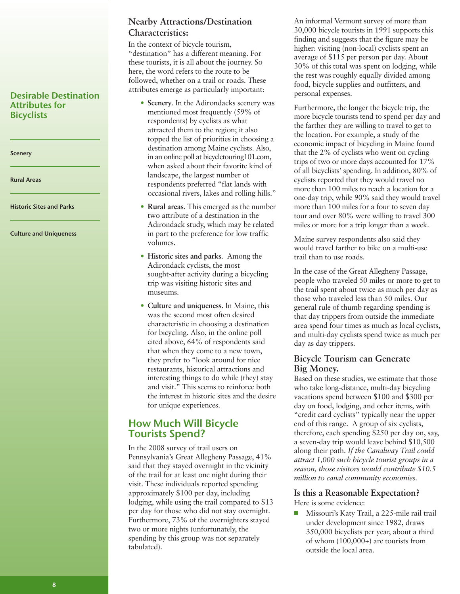#### Desirable Destination Attributes for **Bicyclists**

**Scenery** 

Rural Areas

Historic Sites and Parks

Culture and Uniqueness

#### **Nearby Attractions/Destination Characteristics:**

In the context of bicycle tourism, "destination" has a different meaning. For these tourists, it is all about the journey. So here, the word refers to the route to be followed, whether on a trail or roads. These attributes emerge as particularly important:

- **Scenery**. In the Adirondacks scenery was mentioned most frequently (59% of respondents) by cyclists as what attracted them to the region; it also topped the list of priorities in choosing a destination among Maine cyclists. Also, in an online poll at bicycletouring101.com, when asked about their favorite kind of landscape, the largest number of respondents preferred "flat lands with occasional rivers, lakes and rolling hills."
- **Rural areas**. This emerged as the number two attribute of a destination in the Adirondack study, which may be related in part to the preference for low traffic volumes.
- **Historic sites and parks**. Among the Adirondack cyclists, the most sought-after activity during a bicycling trip was visiting historic sites and museums.
- **Culture and uniqueness**. In Maine, this was the second most often desired characteristic in choosing a destination for bicycling. Also, in the online poll cited above, 64% of respondents said that when they come to a new town, they prefer to "look around for nice restaurants, historical attractions and interesting things to do while (they) stay and visit." This seems to reinforce both the interest in historic sites and the desire for unique experiences.

#### How Much Will Bicycle Tourists Spend?

In the 2008 survey of trail users on Pennsylvania's Great Allegheny Passage, 41% said that they stayed overnight in the vicinity of the trail for at least one night during their visit. These individuals reported spending approximately \$100 per day, including lodging, while using the trail compared to \$13 per day for those who did not stay overnight. Furthermore, 73% of the overnighters stayed two or more nights (unfortunately, the spending by this group was not separately tabulated).

An informal Vermont survey of more than 30,000 bicycle tourists in 1991 supports this finding and suggests that the figure may be higher: visiting (non-local) cyclists spent an average of \$115 per person per day. About 30% of this total was spent on lodging, while the rest was roughly equally divided among food, bicycle supplies and outfitters, and personal expenses.

Furthermore, the longer the bicycle trip, the more bicycle tourists tend to spend per day and the farther they are willing to travel to get to the location. For example, a study of the economic impact of bicycling in Maine found that the 2% of cyclists who went on cycling trips of two or more days accounted for 17% of all bicyclists' spending. In addition, 80% of cyclists reported that they would travel no more than 100 miles to reach a location for a one-day trip, while 90% said they would travel more than 100 miles for a four to seven day tour and over 80% were willing to travel 300 miles or more for a trip longer than a week.

Maine survey respondents also said they would travel farther to bike on a multi-use trail than to use roads.

In the case of the Great Allegheny Passage, people who traveled 50 miles or more to get to the trail spent about twice as much per day as those who traveled less than 50 miles. Our general rule of thumb regarding spending is that day trippers from outside the immediate area spend four times as much as local cyclists, and multi-day cyclists spend twice as much per day as day trippers.

#### **Bicycle Tourism can Generate Big Money.**

Based on these studies, we estimate that those who take long-distance, multi-day bicycling vacations spend between \$100 and \$300 per day on food, lodging, and other items, with "credit card cyclists" typically near the upper end of this range. A group of six cyclists, therefore, each spending \$250 per day on, say, a seven-day trip would leave behind \$10,500 along their path. *If the Canalway Trail could attract 1,000 such bicycle tourist groups in a season, those visitors would contribute \$10.5 million to canal community economies.*

#### **Is this a Reasonable Expectation?** Here is some evidence:

Missouri's Katy Trail, a 225-mile rail trail under development since 1982, draws 350,000 bicyclists per year, about a third of whom (100,000+) are tourists from outside the local area.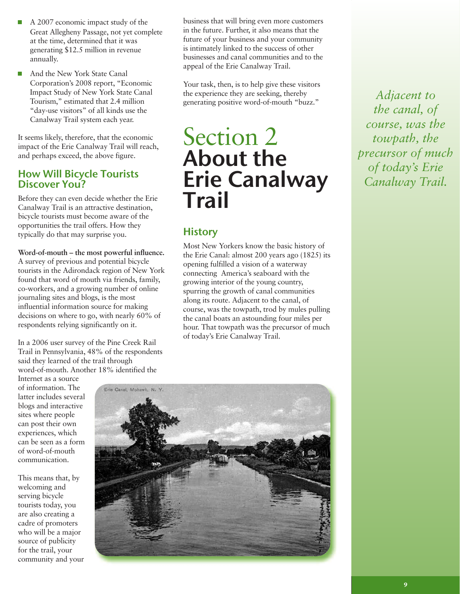- A 2007 economic impact study of the Great Allegheny Passage, not yet complete at the time, determined that it was generating \$12.5 million in revenue annually.
- And the New York State Canal Corporation's 2008 report, "Economic Impact Study of New York State Canal Tourism," estimated that 2.4 million "day-use visitors" of all kinds use the Canalway Trail system each year.

It seems likely, therefore, that the economic impact of the Erie Canalway Trail will reach, and perhaps exceed, the above figure.

#### How Will Bicycle Tourists Discover You?

Before they can even decide whether the Erie Canalway Trail is an attractive destination, bicycle tourists must become aware of the opportunities the trail offers. How they typically do that may surprise you.

#### **Word-of-mouth – the most powerful influence.**

A survey of previous and potential bicycle tourists in the Adirondack region of New York found that word of mouth via friends, family, co-workers, and a growing number of online journaling sites and blogs, is the most influential information source for making decisions on where to go, with nearly 60% of respondents relying significantly on it.

In a 2006 user survey of the Pine Creek Rail Trail in Pennsylvania, 48% of the respondents said they learned of the trail through word-of-mouth. Another 18% identified the

Internet as a source of information. The latter includes several blogs and interactive sites where people can post their own experiences, which can be seen as a form of word-of-mouth communication.

This means that, by welcoming and serving bicycle tourists today, you are also creating a cadre of promoters who will be a major source of publicity for the trail, your community and your



business that will bring even more customers in the future. Further, it also means that the future of your business and your community is intimately linked to the success of other businesses and canal communities and to the appeal of the Erie Canalway Trail.

Your task, then, is to help give these visitors the experience they are seeking, thereby generating positive word-of-mouth "buzz."

## Section 2 About the Erie Canalway Trail

## **History**

Most New Yorkers know the basic history of the Erie Canal: almost 200 years ago (1825) its opening fulfilled a vision of a waterway connecting America's seaboard with the growing interior of the young country, spurring the growth of canal communities along its route. Adjacent to the canal, of course, was the towpath, trod by mules pulling the canal boats an astounding four miles per hour. That towpath was the precursor of much of today's Erie Canalway Trail.

*Adjacent to the canal, of course, was the towpath, the precursor of much of today's Erie Canalway Trail.*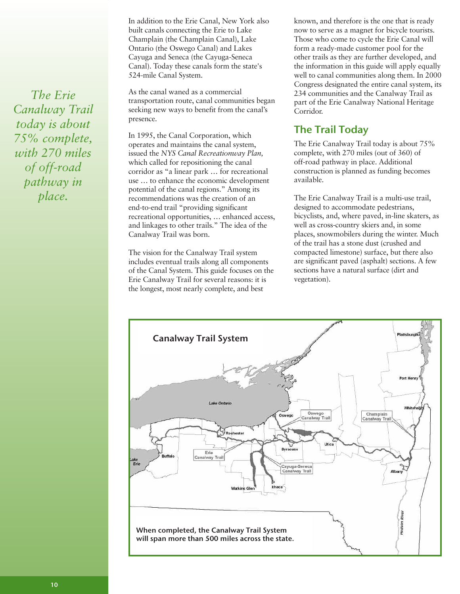In addition to the Erie Canal, New York also built canals connecting the Erie to Lake Champlain (the Champlain Canal), Lake Ontario (the Oswego Canal) and Lakes Cayuga and Seneca (the Cayuga-Seneca Canal). Today these canals form the state's 524-mile Canal System.

As the canal waned as a commercial transportation route, canal communities began seeking new ways to benefit from the canal's presence.

In 1995, the Canal Corporation, which operates and maintains the canal system, issued the *NYS Canal Recreationway Plan,* which called for repositioning the canal corridor as "a linear park … for recreational use … to enhance the economic development potential of the canal regions." Among its recommendations was the creation of an end-to-end trail "providing significant recreational opportunities, … enhanced access, and linkages to other trails." The idea of the Canalway Trail was born.

The vision for the Canalway Trail system includes eventual trails along all components of the Canal System. This guide focuses on the Erie Canalway Trail for several reasons: it is the longest, most nearly complete, and best

known, and therefore is the one that is ready now to serve as a magnet for bicycle tourists. Those who come to cycle the Erie Canal will form a ready-made customer pool for the other trails as they are further developed, and the information in this guide will apply equally well to canal communities along them. In 2000 Congress designated the entire canal system, its 234 communities and the Canalway Trail as part of the Erie Canalway National Heritage Corridor.

## The Trail Today

The Erie Canalway Trail today is about 75% complete, with 270 miles (out of 360) of off-road pathway in place. Additional construction is planned as funding becomes available.

The Erie Canalway Trail is a multi-use trail, designed to accommodate pedestrians, bicyclists, and, where paved, in-line skaters, as well as cross-country skiers and, in some places, snowmobilers during the winter. Much of the trail has a stone dust (crushed and compacted limestone) surface, but there also are significant paved (asphalt) sections. A few sections have a natural surface (dirt and vegetation).



*The Erie Canalway Trail today is about 75% complete, with 270 miles of off-road pathway in place.*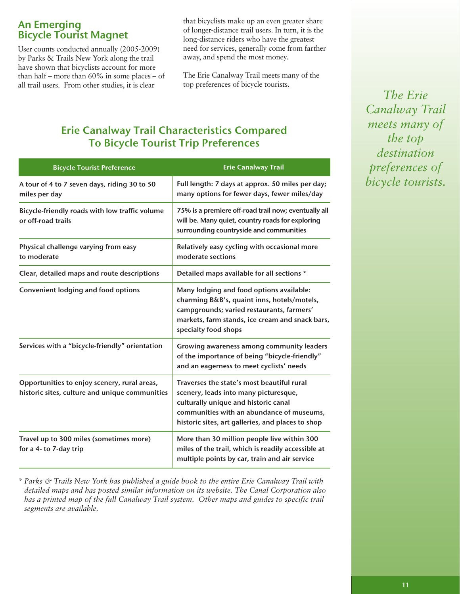#### An Emerging Bicycle Tourist Magnet

User counts conducted annually (2005-2009) by Parks & Trails New York along the trail have shown that bicyclists account for more than half – more than 60% in some places – of all trail users. From other studies, it is clear

that bicyclists make up an even greater share of longer-distance trail users. In turn, it is the long-distance riders who have the greatest need for services, generally come from farther away, and spend the most money.

The Erie Canalway Trail meets many of the top preferences of bicycle tourists.

## Erie Canalway Trail Characteristics Compared To Bicycle Tourist Trip Preferences

| <b>Bicycle Tourist Preference</b>                                                              | <b>Erie Canalway Trail</b>                                                                                                                                                                                                    |
|------------------------------------------------------------------------------------------------|-------------------------------------------------------------------------------------------------------------------------------------------------------------------------------------------------------------------------------|
| A tour of 4 to 7 seven days, riding 30 to 50<br>miles per day                                  | Full length: 7 days at approx. 50 miles per day;<br>many options for fewer days, fewer miles/day                                                                                                                              |
| Bicycle-friendly roads with low traffic volume<br>or off-road trails                           | 75% is a premiere off-road trail now; eventually all<br>will be. Many quiet, country roads for exploring<br>surrounding countryside and communities                                                                           |
| Physical challenge varying from easy<br>to moderate                                            | Relatively easy cycling with occasional more<br>moderate sections                                                                                                                                                             |
| Clear, detailed maps and route descriptions                                                    | Detailed maps available for all sections *                                                                                                                                                                                    |
| <b>Convenient lodging and food options</b>                                                     | Many lodging and food options available:<br>charming B&B's, quaint inns, hotels/motels,<br>campgrounds; varied restaurants, farmers'<br>markets, farm stands, ice cream and snack bars,<br>specialty food shops               |
| Services with a "bicycle-friendly" orientation                                                 | Growing awareness among community leaders<br>of the importance of being "bicycle-friendly"<br>and an eagerness to meet cyclists' needs                                                                                        |
| Opportunities to enjoy scenery, rural areas,<br>historic sites, culture and unique communities | Traverses the state's most beautiful rural<br>scenery, leads into many picturesque,<br>culturally unique and historic canal<br>communities with an abundance of museums,<br>historic sites, art galleries, and places to shop |
| Travel up to 300 miles (sometimes more)<br>for a 4- to 7-day trip                              | More than 30 million people live within 300<br>miles of the trail, which is readily accessible at<br>multiple points by car, train and air service                                                                            |

*\* Parks & Trails New York has published a guide book to the entire Erie Canalway Trail with detailed maps and has posted similar information on its website. The Canal Corporation also has a printed map of the full Canalway Trail system. Other maps and guides to specific trail segments are available.*

*The Erie Canalway Trail meets many of the top destination preferences of bicycle tourists.*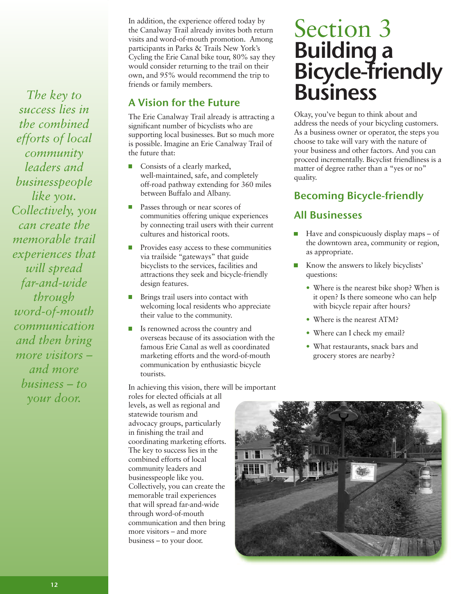*The key to success lies in the combined efforts of local community leaders and businesspeople like you. Collectively, you can create the memorable trail experiences that will spread far-and-wide through word-of-mouth communication and then bring more visitors – and more business – to your door.*

In addition, the experience offered today by the Canalway Trail already invites both return visits and word-of-mouth promotion. Among participants in Parks & Trails New York's Cycling the Erie Canal bike tour, 80% say they would consider returning to the trail on their own, and 95% would recommend the trip to friends or family members.

### A Vision for the Future

The Erie Canalway Trail already is attracting a significant number of bicyclists who are supporting local businesses. But so much more is possible. Imagine an Erie Canalway Trail of the future that:

- m, Consists of a clearly marked, well-maintained, safe, and completely off-road pathway extending for 360 miles between Buffalo and Albany.
- $\Box$ Passes through or near scores of communities offering unique experiences by connecting trail users with their current cultures and historical roots.
- Provides easy access to these communities via trailside "gateways" that guide bicyclists to the services, facilities and attractions they seek and bicycle-friendly design features.
- Brings trail users into contact with welcoming local residents who appreciate their value to the community.
- Is renowned across the country and overseas because of its association with the famous Erie Canal as well as coordinated marketing efforts and the word-of-mouth communication by enthusiastic bicycle tourists.

In achieving this vision, there will be important

roles for elected officials at all levels, as well as regional and statewide tourism and advocacy groups, particularly in finishing the trail and coordinating marketing efforts. The key to success lies in the combined efforts of local community leaders and businesspeople like you. Collectively, you can create the memorable trail experiences that will spread far-and-wide through word-of-mouth communication and then bring more visitors – and more business – to your door.

# Section 3 Building a Bicycle-friendly Business

Okay, you've begun to think about and address the needs of your bicycling customers. As a business owner or operator, the steps you choose to take will vary with the nature of your business and other factors. And you can proceed incrementally. Bicyclist friendliness is a matter of degree rather than a "yes or no" quality.

## Becoming Bicycle-friendly

#### All Businesses

- $\blacksquare$  Have and conspicuously display maps of the downtown area, community or region, as appropriate.
- Know the answers to likely bicyclists' questions:
	- Where is the nearest bike shop? When is it open? Is there someone who can help with bicycle repair after hours?
	- Where is the nearest ATM?
	- Where can I check my email?
	- What restaurants, snack bars and grocery stores are nearby?

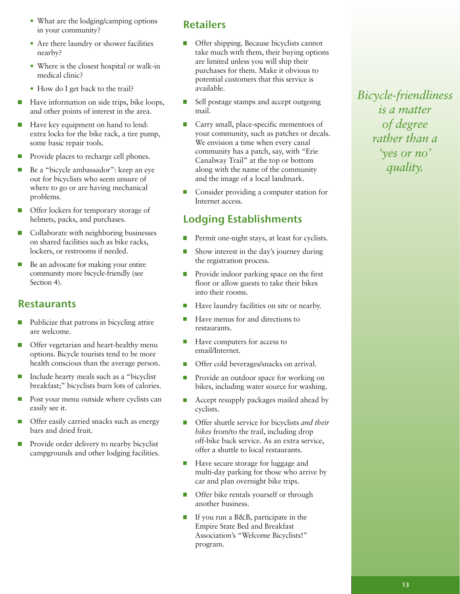- What are the lodging/camping options in your community?
- Are there laundry or shower facilities nearby?
- Where is the closest hospital or walk-in medical clinic?
- How do I get back to the trail?
- $\sim$ Have information on side trips, bike loops, and other points of interest in the area.
- Have key equipment on hand to lend:  $\Box$ extra locks for the bike rack, a tire pump, some basic repair tools.
- Provide places to recharge cell phones.
- Be a "bicycle ambassador": keep an eye out for bicyclists who seem unsure of where to go or are having mechanical problems.
- Offer lockers for temporary storage of helmets, packs, and purchases.
- Collaborate with neighboring businesses on shared facilities such as bike racks, lockers, or restrooms if needed.
- Be an advocate for making your entire community more bicycle-friendly (see Section 4).

### **Restaurants**

- Publicize that patrons in bicycling attire are welcome.
- $\Box$ Offer vegetarian and heart-healthy menu options. Bicycle tourists tend to be more health conscious than the average person.
- Include hearty meals such as a "bicyclist breakfast;" bicyclists burn lots of calories.
- $\sim$ Post your menu outside where cyclists can easily see it.
- Offer easily carried snacks such as energy bars and dried fruit.
- Provide order delivery to nearby bicyclist  $\overline{\phantom{a}}$ campgrounds and other lodging facilities.

#### **Retailers**

- Offer shipping. Because bicyclists cannot take much with them, their buying options are limited unless you will ship their purchases for them. Make it obvious to potential customers that this service is available.
- **Tale** Sell postage stamps and accept outgoing mail.
- m, Carry small, place-specific mementoes of your community, such as patches or decals. We envision a time when every canal community has a patch, say, with "Erie Canalway Trail" at the top or bottom along with the name of the community and the image of a local landmark.
- Consider providing a computer station for П Internet access.

## Lodging Establishments

- Permit one-night stays, at least for cyclists.
- Show interest in the day's journey during the registration process.
- Provide indoor parking space on the first  $\mathcal{L}_{\mathcal{A}}$ floor or allow guests to take their bikes into their rooms.
- Have laundry facilities on site or nearby.
- Have menus for and directions to restaurants.
- Have computers for access to **Tale** email/Internet.
- Offer cold beverages/snacks on arrival.
- Provide an outdoor space for working on **Tale** bikes, including water source for washing.
- Accept resupply packages mailed ahead by cyclists.
- Offer shuttle service for bicyclists *and their*  $\Box$ *bikes* from/to the trail, including drop off-bike back service. As an extra service, offer a shuttle to local restaurants.
- $\Box$ Have secure storage for luggage and multi-day parking for those who arrive by car and plan overnight bike trips.
- Offer bike rentals yourself or through  $\mathbf{r}$ another business.
- If you run a B&B, participate in the Empire State Bed and Breakfast Association's "Welcome Bicyclists!" program.

*Bicycle-friendliness is a matter of degree rather than a 'yes or no' quality.*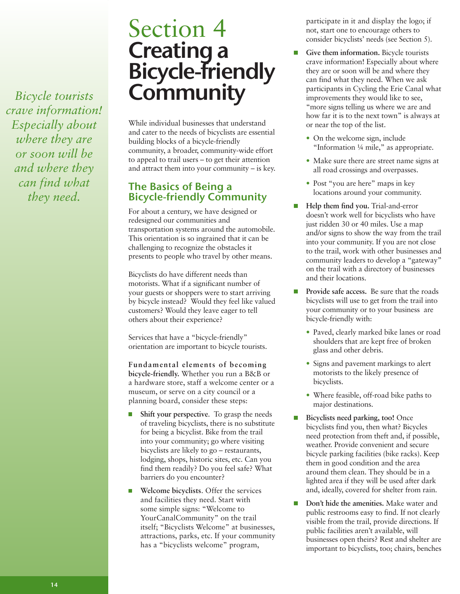*Bicycle tourists crave information! Especially about where they are or soon will be and where they can find what they need.*

# Section 4 Creating a Bicycle-friendly<br>Community

While individual businesses that understand and cater to the needs of bicyclists are essential building blocks of a bicycle-friendly community, a broader, community-wide effort to appeal to trail users – to get their attention and attract them into your community – is key.

#### The Basics of Being a Bicycle-friendly Community

For about a century, we have designed or redesigned our communities and transportation systems around the automobile. This orientation is so ingrained that it can be challenging to recognize the obstacles it presents to people who travel by other means.

Bicyclists do have different needs than motorists. What if a significant number of your guests or shoppers were to start arriving by bicycle instead? Would they feel like valued customers? Would they leave eager to tell others about their experience?

Services that have a "bicycle-friendly" orientation are important to bicycle tourists.

**Fundamental elements of becoming bicycle-friendly.** Whether you run a B&B or

a hardware store, staff a welcome center or a museum, or serve on a city council or a planning board, consider these steps:

- **Shift your perspective**. To grasp the needs of traveling bicyclists, there is no substitute for being a bicyclist. Bike from the trail into your community; go where visiting bicyclists are likely to go – restaurants, lodging, shops, historic sites, etc. Can you find them readily? Do you feel safe? What barriers do you encounter?
- **Welcome bicyclists**. Offer the services and facilities they need. Start with some simple signs: "Welcome to YourCanalCommunity" on the trail itself; "Bicyclists Welcome" at businesses, attractions, parks, etc. If your community has a "bicyclists welcome" program,

participate in it and display the logo; if not, start one to encourage others to consider bicyclists' needs (see Section 5).

- $\overline{\phantom{a}}$ **Give them information.** Bicycle tourists crave information! Especially about where they are or soon will be and where they can find what they need. When we ask participants in Cycling the Erie Canal what improvements they would like to see, "more signs telling us where we are and how far it is to the next town" is always at or near the top of the list.
	- On the welcome sign, include "Information ¼ mile," as appropriate.
	- Make sure there are street name signs at all road crossings and overpasses.
	- Post "you are here" maps in key locations around your community.
- **Help them find you.** Trial-and-error doesn't work well for bicyclists who have just ridden 30 or 40 miles. Use a map and/or signs to show the way from the trail into your community. If you are not close to the trail, work with other businesses and community leaders to develop a "gateway" on the trail with a directory of businesses and their locations.
- $\Box$ **Provide safe access.** Be sure that the roads bicyclists will use to get from the trail into your community or to your business are bicycle-friendly with:
	- Paved, clearly marked bike lanes or road shoulders that are kept free of broken glass and other debris.
	- Signs and pavement markings to alert motorists to the likely presence of bicyclists.
	- Where feasible, off-road bike paths to major destinations.
- $\Box$ **Bicyclists need parking, too!** Once bicyclists find you, then what? Bicycles need protection from theft and, if possible, weather. Provide convenient and secure bicycle parking facilities (bike racks). Keep them in good condition and the area around them clean. They should be in a lighted area if they will be used after dark and, ideally, covered for shelter from rain.
- **Don't hide the amenities.** Make water and public restrooms easy to find. If not clearly visible from the trail, provide directions. If public facilities aren't available, will businesses open theirs? Rest and shelter are important to bicyclists, too; chairs, benches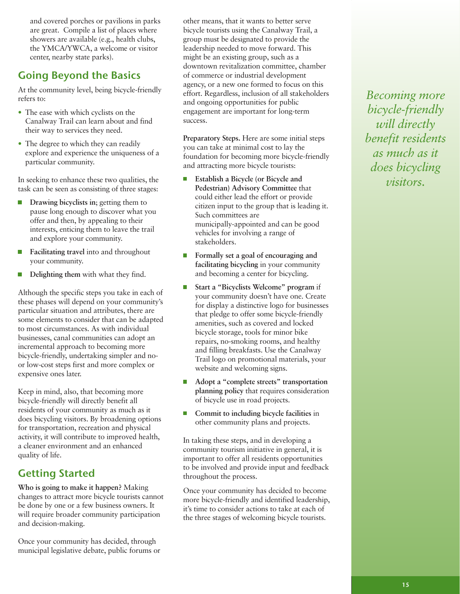and covered porches or pavilions in parks are great. Compile a list of places where showers are available (e.g., health clubs, the YMCA/YWCA, a welcome or visitor center, nearby state parks).

## Going Beyond the Basics

At the community level, being bicycle-friendly refers to:

- The ease with which cyclists on the Canalway Trail can learn about and find their way to services they need.
- The degree to which they can readily explore and experience the uniqueness of a particular community.

In seeking to enhance these two qualities, the task can be seen as consisting of three stages:

- **Drawing bicyclists in**; getting them to pause long enough to discover what you offer and then, by appealing to their interests, enticing them to leave the trail and explore your community.
- **Facilitating travel** into and throughout your community.
- **Delighting them** with what they find.

Although the specific steps you take in each of these phases will depend on your community's particular situation and attributes, there are some elements to consider that can be adapted to most circumstances. As with individual businesses, canal communities can adopt an incremental approach to becoming more bicycle-friendly, undertaking simpler and noor low-cost steps first and more complex or expensive ones later.

Keep in mind, also, that becoming more bicycle-friendly will directly benefit all residents of your community as much as it does bicycling visitors. By broadening options for transportation, recreation and physical activity, it will contribute to improved health, a cleaner environment and an enhanced quality of life.

## Getting Started

**Who is going to make it happen?** Making changes to attract more bicycle tourists cannot be done by one or a few business owners. It will require broader community participation and decision-making.

Once your community has decided, through municipal legislative debate, public forums or other means, that it wants to better serve bicycle tourists using the Canalway Trail, a group must be designated to provide the leadership needed to move forward. This might be an existing group, such as a downtown revitalization committee, chamber of commerce or industrial development agency, or a new one formed to focus on this effort. Regardless, inclusion of all stakeholders and ongoing opportunities for public engagement are important for long-term success.

**Preparatory Steps.** Here are some initial steps you can take at minimal cost to lay the foundation for becoming more bicycle-friendly and attracting more bicycle tourists:

- $\Box$ **Establish a Bicycle (or Bicycle and Pedestrian) Advisory Committee** that could either lead the effort or provide citizen input to the group that is leading it. Such committees are municipally-appointed and can be good vehicles for involving a range of stakeholders.
- **Formally set a goal of encouraging and facilitating bicycling** in your community and becoming a center for bicycling.
- **Start a "Bicyclists Welcome" program** if your community doesn't have one. Create for display a distinctive logo for businesses that pledge to offer some bicycle-friendly amenities, such as covered and locked bicycle storage, tools for minor bike repairs, no-smoking rooms, and healthy and filling breakfasts. Use the Canalway Trail logo on promotional materials, your website and welcoming signs.
- m, **Adopt a "complete streets" transportation planning policy** that requires consideration of bicycle use in road projects.
- **Commit to including bicycle facilities** in m. other community plans and projects.

In taking these steps, and in developing a community tourism initiative in general, it is important to offer all residents opportunities to be involved and provide input and feedback throughout the process.

Once your community has decided to become more bicycle-friendly and identified leadership, it's time to consider actions to take at each of the three stages of welcoming bicycle tourists.

*Becoming more bicycle-friendly will directly benefit residents as much as it does bicycling visitors.*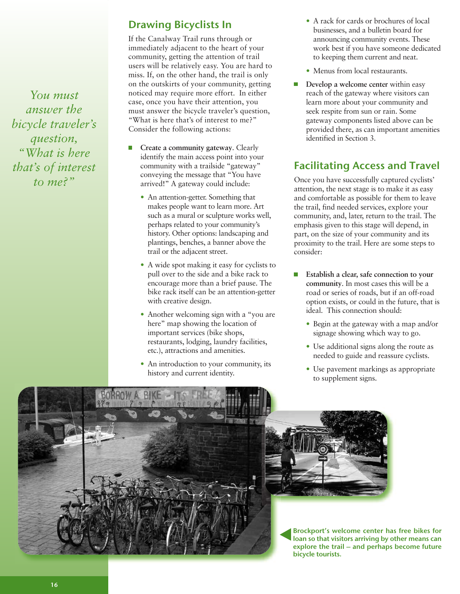*You must answer the bicycle traveler's question, "What is here that's of interest to me?"*

### Drawing Bicyclists In

If the Canalway Trail runs through or immediately adjacent to the heart of your community, getting the attention of trail users will be relatively easy. You are hard to miss. If, on the other hand, the trail is only on the outskirts of your community, getting noticed may require more effort. In either case, once you have their attention, you must answer the bicycle traveler's question, "What is here that's of interest to me?" Consider the following actions:

- ш **Create a community gateway**. Clearly identify the main access point into your community with a trailside "gateway" conveying the message that "You have arrived!" A gateway could include:
	- An attention-getter. Something that makes people want to learn more. Art such as a mural or sculpture works well, perhaps related to your community's history. Other options: landscaping and plantings, benches, a banner above the trail or the adjacent street.
	- A wide spot making it easy for cyclists to pull over to the side and a bike rack to encourage more than a brief pause. The bike rack itself can be an attention-getter with creative design.
	- Another welcoming sign with a "you are" here" map showing the location of important services (bike shops, restaurants, lodging, laundry facilities, etc.), attractions and amenities.
	- An introduction to your community, its history and current identity.
- A rack for cards or brochures of local businesses, and a bulletin board for announcing community events. These work best if you have someone dedicated to keeping them current and neat.
- Menus from local restaurants.
- **Develop a welcome center** within easy  $\Box$ reach of the gateway where visitors can learn more about your community and seek respite from sun or rain. Some gateway components listed above can be provided there, as can important amenities identified in Section 3.

## Facilitating Access and Travel

Once you have successfully captured cyclists' attention, the next stage is to make it as easy and comfortable as possible for them to leave the trail, find needed services, explore your community, and, later, return to the trail. The emphasis given to this stage will depend, in part, on the size of your community and its proximity to the trail. Here are some steps to consider:

- **Establish a clear, safe connection to your community**. In most cases this will be a road or series of roads, but if an off-road option exists, or could in the future, that is ideal. This connection should:
	- Begin at the gateway with a map and/or signage showing which way to go.
	- Use additional signs along the route as needed to guide and reassure cyclists.
	- Use pavement markings as appropriate to supplement signs.





Brockport's welcome center has free bikes for loan so that visitors arriving by other means can explore the trail – and perhaps become future bicycle tourists.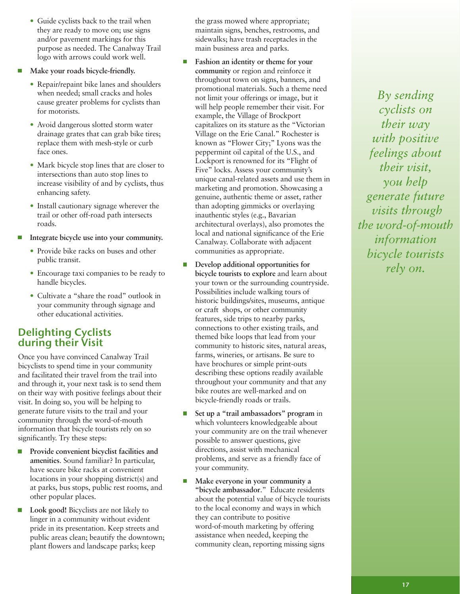- Guide cyclists back to the trail when they are ready to move on; use signs and/or pavement markings for this purpose as needed. The Canalway Trail logo with arrows could work well.
- **Make your roads bicycle-friendly.**
	- Repair/repaint bike lanes and shoulders when needed; small cracks and holes cause greater problems for cyclists than for motorists.
	- Avoid dangerous slotted storm water drainage grates that can grab bike tires; replace them with mesh-style or curb face ones.
	- Mark bicycle stop lines that are closer to intersections than auto stop lines to increase visibility of and by cyclists, thus enhancing safety.
	- Install cautionary signage wherever the trail or other off-road path intersects roads.
- **Integrate bicycle use into your community.**
	- Provide bike racks on buses and other public transit.
	- Encourage taxi companies to be ready to handle bicycles.
	- Cultivate a "share the road" outlook in your community through signage and other educational activities.

### Delighting Cyclists during their Visit

Once you have convinced Canalway Trail bicyclists to spend time in your community and facilitated their travel from the trail into and through it, your next task is to send them on their way with positive feelings about their visit. In doing so, you will be helping to generate future visits to the trail and your community through the word-of-mouth information that bicycle tourists rely on so significantly. Try these steps:

- **Provide convenient bicyclist facilities and amenities**. Sound familiar? In particular, have secure bike racks at convenient locations in your shopping district(s) and at parks, bus stops, public rest rooms, and other popular places.
- **Look good!** Bicyclists are not likely to linger in a community without evident pride in its presentation. Keep streets and public areas clean; beautify the downtown; plant flowers and landscape parks; keep

the grass mowed where appropriate; maintain signs, benches, restrooms, and sidewalks; have trash receptacles in the main business area and parks.

- $\blacksquare$ **Fashion an identity or theme for your community** or region and reinforce it throughout town on signs, banners, and promotional materials. Such a theme need not limit your offerings or image, but it will help people remember their visit. For example, the Village of Brockport capitalizes on its stature as the "Victorian Village on the Erie Canal." Rochester is known as "Flower City;" Lyons was the peppermint oil capital of the U.S., and Lockport is renowned for its "Flight of Five" locks. Assess your community's unique canal-related assets and use them in marketing and promotion. Showcasing a genuine, authentic theme or asset, rather than adopting gimmicks or overlaying inauthentic styles (e.g., Bavarian architectural overlays), also promotes the local and national significance of the Erie Canalway. Collaborate with adjacent communities as appropriate.
- **Develop additional opportunities for bicycle tourists to explore** and learn about your town or the surrounding countryside. Possibilities include walking tours of historic buildings/sites, museums, antique or craft shops, or other community features, side trips to nearby parks, connections to other existing trails, and themed bike loops that lead from your community to historic sites, natural areas, farms, wineries, or artisans. Be sure to have brochures or simple print-outs describing these options readily available throughout your community and that any bike routes are well-marked and on bicycle-friendly roads or trails.
- **Set up a "trail ambassadors" program** in m, which volunteers knowledgeable about your community are on the trail whenever possible to answer questions, give directions, assist with mechanical problems, and serve as a friendly face of your community.
- $\overline{\phantom{a}}$ **Make everyone in your community a "bicycle ambassador**." Educate residents about the potential value of bicycle tourists to the local economy and ways in which they can contribute to positive word-of-mouth marketing by offering assistance when needed, keeping the community clean, reporting missing signs

*By sending cyclists on their way with positive feelings about their visit, you help generate future visits through the word-of-mouth information bicycle tourists rely on.*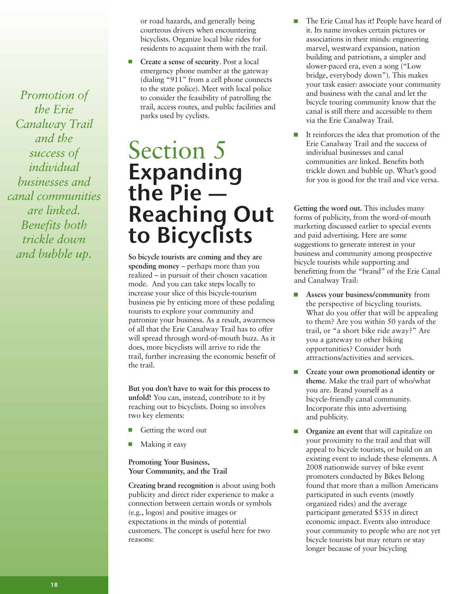*Promotion of the Erie Canalway Trail and the success of individual businesses and canal communities are linked. Benefits both trickle down and bubble up.*

or road hazards, and generally being courteous drivers when encountering bicyclists. Organize local bike rides for residents to acquaint them with the trail.

**Create a sense of security**. Post a local emergency phone number at the gateway (dialing "911" from a cell phone connects to the state police). Meet with local police to consider the feasibility of patrolling the trail, access routes, and public facilities and parks used by cyclists.

## Section 5 **Expanding**<br>the Pie the Pie —<br>Reaching Out to Bicyclists

**So bicycle tourists are coming and they are spending money** – perhaps more than you realized – in pursuit of their chosen vacation mode. And you can take steps locally to increase your slice of this bicycle-tourism business pie by enticing more of these pedaling tourists to explore your community and patronize your business. As a result, awareness of all that the Erie Canalway Trail has to offer will spread through word-of-mouth buzz. As it does, more bicyclists will arrive to ride the trail, further increasing the economic benefit of the trail.

**But you don't have to wait for this process to unfold!** You can, instead, contribute to it by reaching out to bicyclists. Doing so involves two key elements:

- Getting the word out
- Making it easy

#### **Promoting Your Business, Your Community, and the Trail**

**Creating brand recognition** is about using both publicity and direct rider experience to make a connection between certain words or symbols (e.g., logos) and positive images or expectations in the minds of potential customers. The concept is useful here for two reasons:

- The Erie Canal has it! People have heard of it. Its name invokes certain pictures or associations in their minds: engineering marvel, westward expansion, nation building and patriotism, a simpler and slower-paced era, even a song ("Low bridge, everybody down"). This makes your task easier: associate your community and business with the canal and let the bicycle touring community know that the canal is still there and accessible to them via the Erie Canalway Trail.
- $\mathbb{R}^n$ It reinforces the idea that promotion of the Erie Canalway Trail and the success of individual businesses and canal communities are linked. Benefits both trickle down and bubble up. What's good for you is good for the trail and vice versa.

**Getting the word out.** This includes many forms of publicity, from the word-of-mouth marketing discussed earlier to special events and paid advertising. Here are some suggestions to generate interest in your business and community among prospective bicycle tourists while supporting and benefitting from the "brand" of the Erie Canal and Canalway Trail:

- **Assess your business/community** from the perspective of bicycling tourists. What do you offer that will be appealing to them? Are you within 50 yards of the trail, or "a short bike ride away?" Are you a gateway to other biking opportunities? Consider both attractions/activities and services.
- $\overline{\phantom{a}}$ **Create your own promotional identity or theme**. Make the trail part of who/what you are. Brand yourself as a bicycle-friendly canal community. Incorporate this into advertising and publicity.
	- **Organize an event** that will capitalize on your proximity to the trail and that will appeal to bicycle tourists, or build on an existing event to include these elements. A 2008 nationwide survey of bike event promoters conducted by Bikes Belong found that more than a million Americans participated in such events (mostly organized rides) and the average participant generated \$535 in direct economic impact. Events also introduce your community to people who are not yet bicycle tourists but may return or stay longer because of your bicycling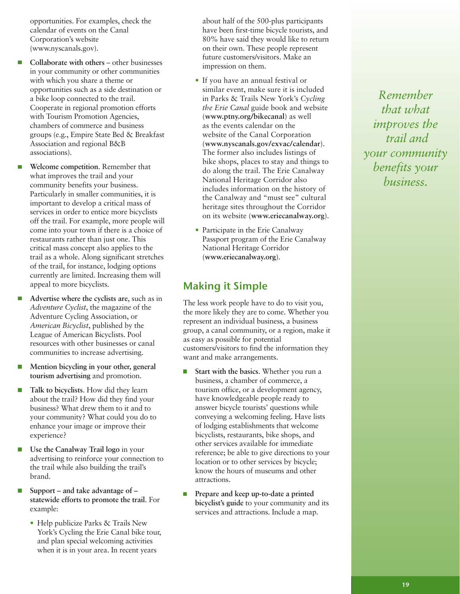opportunities. For examples, check the calendar of events on the Canal Corporation's website (www.nyscanals.gov).

- **Collaborate with others** other businesses in your community or other communities with which you share a theme or opportunities such as a side destination or a bike loop connected to the trail. Cooperate in regional promotion efforts with Tourism Promotion Agencies, chambers of commerce and business groups (e.g., Empire State Bed & Breakfast Association and regional B&B associations).
- **Welcome competition**. Remember that what improves the trail and your community benefits your business. Particularly in smaller communities, it is important to develop a critical mass of services in order to entice more bicyclists off the trail. For example, more people will come into your town if there is a choice of restaurants rather than just one. This critical mass concept also applies to the trail as a whole. Along significant stretches of the trail, for instance, lodging options currently are limited. Increasing them will appeal to more bicyclists.
- **Advertise where the cyclists are**, such as in *Adventure Cyclist*, the magazine of the Adventure Cycling Association, or *American Bicyclist*, published by the League of American Bicyclists. Pool resources with other businesses or canal communities to increase advertising.
- **Mention bicycling in your other, general tourism advertising** and promotion.
- **Talk to bicyclists**. How did they learn about the trail? How did they find your business? What drew them to it and to your community? What could you do to enhance your image or improve their experience?
- **Use the Canalway Trail logo** in your advertising to reinforce your connection to the trail while also building the trail's brand.
- **Support – and take advantage of –**  $\overline{\phantom{a}}$ **statewide efforts to promote the trail**. For example:
	- Help publicize Parks & Trails New York's Cycling the Erie Canal bike tour, and plan special welcoming activities when it is in your area. In recent years

about half of the 500-plus participants have been first-time bicycle tourists, and 80% have said they would like to return on their own. These people represent future customers/visitors. Make an impression on them.

- If you have an annual festival or similar event, make sure it is included in Parks & Trails New York's *Cycling the Erie Canal* guide book and website (**www.ptny.org/bikecanal**) as well as the events calendar on the website of the Canal Corporation (**www.nyscanals.gov/exvac/calendar**). The former also includes listings of bike shops, places to stay and things to do along the trail. The Erie Canalway National Heritage Corridor also includes information on the history of the Canalway and "must see" cultural heritage sites throughout the Corridor on its website (**www.eriecanalway.org**).
- Participate in the Erie Canalway Passport program of the Erie Canalway National Heritage Corridor (**www.eriecanalway.org**).

## Making it Simple

The less work people have to do to visit you, the more likely they are to come. Whether you represent an individual business, a business group, a canal community, or a region, make it as easy as possible for potential customers/visitors to find the information they want and make arrangements.

- **Start with the basics**. Whether you run a  $\Box$ business, a chamber of commerce, a tourism office, or a development agency, have knowledgeable people ready to answer bicycle tourists' questions while conveying a welcoming feeling. Have lists of lodging establishments that welcome bicyclists, restaurants, bike shops, and other services available for immediate reference; be able to give directions to your location or to other services by bicycle; know the hours of museums and other attractions.
- $\mathcal{L}_{\mathcal{A}}$ **Prepare and keep up-to-date a printed bicyclist's guide** to your community and its services and attractions. Include a map.

*Remember that what improves the trail and your community benefits your business.*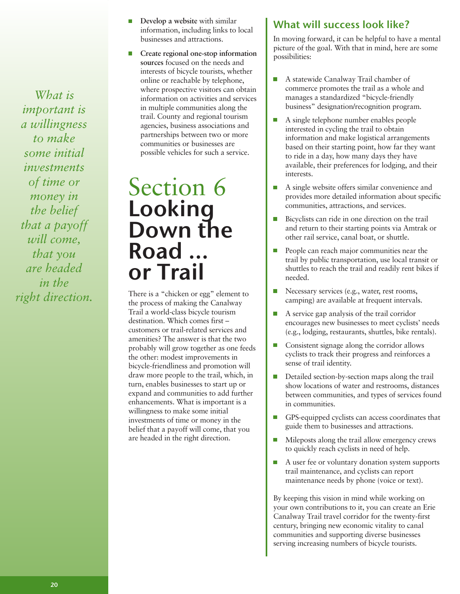*What is important is a willingness to make some initial investments of time or money in the belief that a payoff will come, that you are headed in the right direction.*

- **Develop a website** with similar П information, including links to local businesses and attractions.
- **Create regional one-stop information sources** focused on the needs and interests of bicycle tourists, whether online or reachable by telephone, where prospective visitors can obtain information on activities and services in multiple communities along the trail. County and regional tourism agencies, business associations and partnerships between two or more communities or businesses are possible vehicles for such a service.

## Section 6<br>**Looking** Down the Road … or Trail

There is a "chicken or egg" element to the process of making the Canalway Trail a world-class bicycle tourism destination. Which comes first – customers or trail-related services and amenities? The answer is that the two probably will grow together as one feeds the other: modest improvements in bicycle-friendliness and promotion will draw more people to the trail, which, in turn, enables businesses to start up or expand and communities to add further enhancements. What is important is a willingness to make some initial investments of time or money in the belief that a payoff will come, that you are headed in the right direction.

## What will success look like?

In moving forward, it can be helpful to have a mental picture of the goal. With that in mind, here are some possibilities:

- $\overline{\phantom{a}}$ A statewide Canalway Trail chamber of commerce promotes the trail as a whole and manages a standardized "bicycle-friendly business" designation/recognition program.
- $\Box$ A single telephone number enables people interested in cycling the trail to obtain information and make logistical arrangements based on their starting point, how far they want to ride in a day, how many days they have available, their preferences for lodging, and their interests.
- $\mathcal{C}$ A single website offers similar convenience and provides more detailed information about specific communities, attractions, and services.
- $\overline{\phantom{a}}$ Bicyclists can ride in one direction on the trail and return to their starting points via Amtrak or other rail service, canal boat, or shuttle.
- $\overline{\phantom{a}}$ People can reach major communities near the trail by public transportation, use local transit or shuttles to reach the trail and readily rent bikes if needed.
- $\Box$ Necessary services (e.g., water, rest rooms, camping) are available at frequent intervals.
- $\overline{\phantom{a}}$ A service gap analysis of the trail corridor encourages new businesses to meet cyclists' needs (e.g., lodging, restaurants, shuttles, bike rentals).
- m, Consistent signage along the corridor allows cyclists to track their progress and reinforces a sense of trail identity.
- $\overline{\phantom{a}}$ Detailed section-by-section maps along the trail show locations of water and restrooms, distances between communities, and types of services found in communities.
- $\overline{\phantom{a}}$ GPS-equipped cyclists can access coordinates that guide them to businesses and attractions.
- $\Box$ Mileposts along the trail allow emergency crews to quickly reach cyclists in need of help.
- A user fee or voluntary donation system supports  $\mathcal{L}_{\mathcal{A}}$ trail maintenance, and cyclists can report maintenance needs by phone (voice or text).

By keeping this vision in mind while working on your own contributions to it, you can create an Erie Canalway Trail travel corridor for the twenty-first century, bringing new economic vitality to canal communities and supporting diverse businesses serving increasing numbers of bicycle tourists.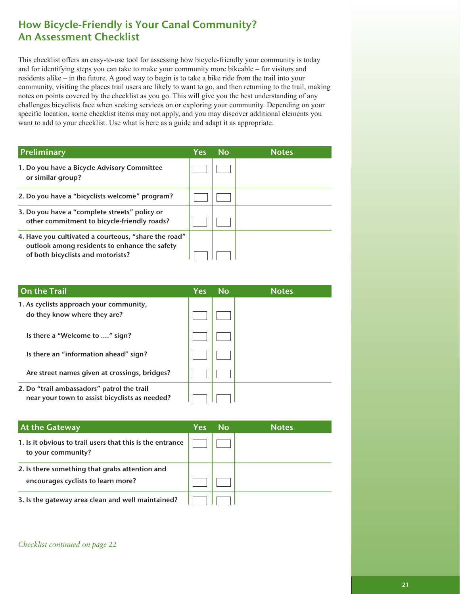## How Bicycle-Friendly is Your Canal Community? An Assessment Checklist

This checklist offers an easy-to-use tool for assessing how bicycle-friendly your community is today and for identifying steps you can take to make your community more bikeable – for visitors and residents alike – in the future. A good way to begin is to take a bike ride from the trail into your community, visiting the places trail users are likely to want to go, and then returning to the trail, making notes on points covered by the checklist as you go. This will give you the best understanding of any challenges bicyclists face when seeking services on or exploring your community. Depending on your specific location, some checklist items may not apply, and you may discover additional elements you want to add to your checklist. Use what is here as a guide and adapt it as appropriate.

| Preliminary                                                                                                                                | <b>Yes</b> | <b>No</b> | <b>Notes</b> |
|--------------------------------------------------------------------------------------------------------------------------------------------|------------|-----------|--------------|
| 1. Do you have a Bicycle Advisory Committee<br>or similar group?                                                                           |            |           |              |
| 2. Do you have a "bicyclists welcome" program?                                                                                             |            |           |              |
| 3. Do you have a "complete streets" policy or<br>other commitment to bicycle-friendly roads?                                               |            |           |              |
| 4. Have you cultivated a courteous, "share the road"<br>outlook among residents to enhance the safety<br>of both bicyclists and motorists? |            |           |              |

| On the Trail                                                                                 | <b>Yes</b> | <b>No</b> | <b>Notes</b> |
|----------------------------------------------------------------------------------------------|------------|-----------|--------------|
| 1. As cyclists approach your community,<br>do they know where they are?                      |            |           |              |
| Is there a "Welcome to " sign?                                                               |            |           |              |
| Is there an "information ahead" sign?                                                        |            |           |              |
| Are street names given at crossings, bridges?                                                |            |           |              |
| 2. Do "trail ambassadors" patrol the trail<br>near your town to assist bicyclists as needed? |            |           |              |

| <b>At the Gateway</b>                                                                | Yes | .No | <b>Notes</b> |
|--------------------------------------------------------------------------------------|-----|-----|--------------|
| 1. Is it obvious to trail users that this is the entrance<br>to your community?      |     |     |              |
| 2. Is there something that grabs attention and<br>encourages cyclists to learn more? |     |     |              |
|                                                                                      |     |     |              |
| 3. Is the gateway area clean and well maintained?                                    |     |     |              |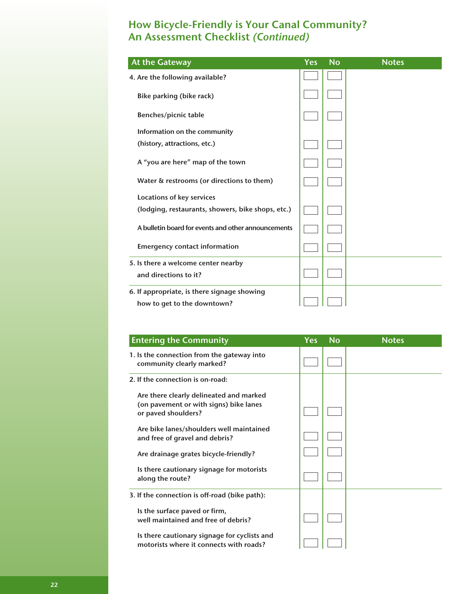## How Bicycle-Friendly is Your Canal Community? An Assessment Checklist (Continued)

| <b>At the Gateway</b>                                                      | <b>Yes</b> | <b>No</b> | <b>Notes</b> |
|----------------------------------------------------------------------------|------------|-----------|--------------|
| 4. Are the following available?                                            |            |           |              |
| Bike parking (bike rack)                                                   |            |           |              |
| Benches/picnic table                                                       |            |           |              |
| Information on the community                                               |            |           |              |
| (history, attractions, etc.)                                               |            |           |              |
| A "you are here" map of the town                                           |            |           |              |
| Water & restrooms (or directions to them)                                  |            |           |              |
| Locations of key services                                                  |            |           |              |
| (lodging, restaurants, showers, bike shops, etc.)                          |            |           |              |
| A bulletin board for events and other announcements                        |            |           |              |
| <b>Emergency contact information</b>                                       |            |           |              |
| 5. Is there a welcome center nearby<br>and directions to it?               |            |           |              |
| 6. If appropriate, is there signage showing<br>how to get to the downtown? |            |           |              |

| <b>Entering the Community</b>                                                                            | <b>Yes</b> | <b>No</b> | <b>Notes</b> |
|----------------------------------------------------------------------------------------------------------|------------|-----------|--------------|
| 1. Is the connection from the gateway into<br>community clearly marked?                                  |            |           |              |
| 2. If the connection is on-road:                                                                         |            |           |              |
| Are there clearly delineated and marked<br>(on pavement or with signs) bike lanes<br>or paved shoulders? |            |           |              |
| Are bike lanes/shoulders well maintained<br>and free of gravel and debris?                               |            |           |              |
| Are drainage grates bicycle-friendly?                                                                    |            |           |              |
| Is there cautionary signage for motorists<br>along the route?                                            |            |           |              |
| 3. If the connection is off-road (bike path):                                                            |            |           |              |
| Is the surface paved or firm,<br>well maintained and free of debris?                                     |            |           |              |
| Is there cautionary signage for cyclists and<br>motorists where it connects with roads?                  |            |           |              |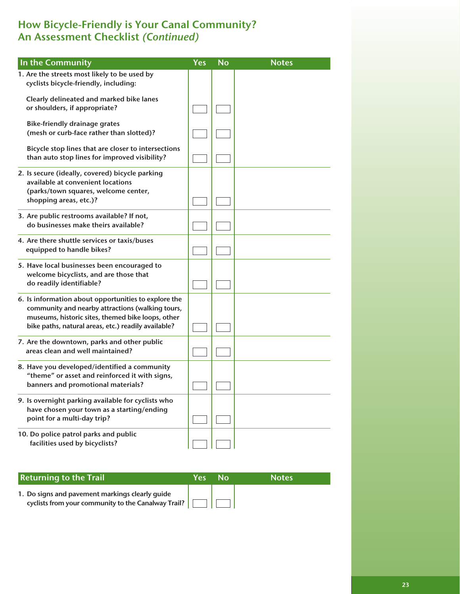## How Bicycle-Friendly is Your Canal Community? An Assessment Checklist (Continued)

| In the Community                                                                                                                                                                                                     | <b>Yes</b> | N <sub>o</sub> | <b>Notes</b> |
|----------------------------------------------------------------------------------------------------------------------------------------------------------------------------------------------------------------------|------------|----------------|--------------|
| 1. Are the streets most likely to be used by<br>cyclists bicycle-friendly, including:                                                                                                                                |            |                |              |
| Clearly delineated and marked bike lanes<br>or shoulders, if appropriate?                                                                                                                                            |            |                |              |
| <b>Bike-friendly drainage grates</b><br>(mesh or curb-face rather than slotted)?                                                                                                                                     |            |                |              |
| Bicycle stop lines that are closer to intersections<br>than auto stop lines for improved visibility?                                                                                                                 |            |                |              |
| 2. Is secure (ideally, covered) bicycle parking<br>available at convenient locations                                                                                                                                 |            |                |              |
| (parks/town squares, welcome center,<br>shopping areas, etc.)?                                                                                                                                                       |            |                |              |
| 3. Are public restrooms available? If not,<br>do businesses make theirs available?                                                                                                                                   |            |                |              |
| 4. Are there shuttle services or taxis/buses<br>equipped to handle bikes?                                                                                                                                            |            |                |              |
| 5. Have local businesses been encouraged to<br>welcome bicyclists, and are those that<br>do readily identifiable?                                                                                                    |            |                |              |
| 6. Is information about opportunities to explore the<br>community and nearby attractions (walking tours,<br>museums, historic sites, themed bike loops, other<br>bike paths, natural areas, etc.) readily available? |            |                |              |
| 7. Are the downtown, parks and other public<br>areas clean and well maintained?                                                                                                                                      |            |                |              |
| 8. Have you developed/identified a community<br>"theme" or asset and reinforced it with signs,<br>banners and promotional materials?                                                                                 |            |                |              |
| 9. Is overnight parking available for cyclists who<br>have chosen your town as a starting/ending<br>point for a multi-day trip?                                                                                      |            |                |              |
| 10. Do police patrol parks and public<br>facilities used by bicyclists?                                                                                                                                              |            |                |              |

| <b>Returning to the Trail</b>                                                                          | Yes' | N∩ | <b>Notes</b> |
|--------------------------------------------------------------------------------------------------------|------|----|--------------|
| 1. Do signs and pavement markings clearly guide<br>cyclists from your community to the Canalway Trail? |      |    |              |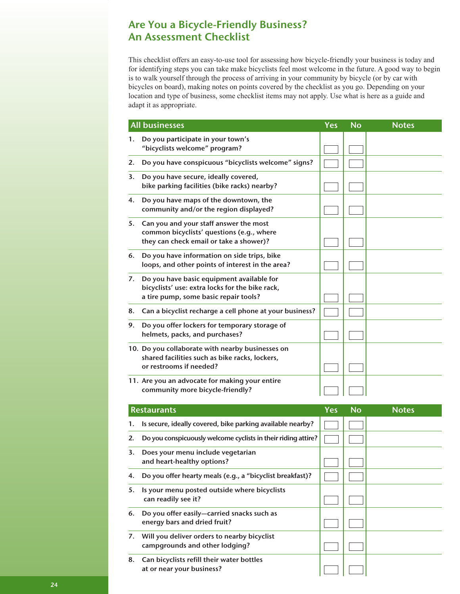## Are You a Bicycle-Friendly Business? An Assessment Checklist

This checklist offers an easy-to-use tool for assessing how bicycle-friendly your business is today and for identifying steps you can take make bicyclists feel most welcome in the future. A good way to begin is to walk yourself through the process of arriving in your community by bicycle (or by car with bicycles on board), making notes on points covered by the checklist as you go. Depending on your location and type of business, some checklist items may not apply. Use what is here as a guide and adapt it as appropriate.

|    | <b>All businesses</b>                                                                                                                 | Yes | <b>No</b> | <b>Notes</b> |
|----|---------------------------------------------------------------------------------------------------------------------------------------|-----|-----------|--------------|
| 1. | Do you participate in your town's<br>"bicyclists welcome" program?                                                                    |     |           |              |
| 2. | Do you have conspicuous "bicyclists welcome" signs?                                                                                   |     |           |              |
| 3. | Do you have secure, ideally covered,<br>bike parking facilities (bike racks) nearby?                                                  |     |           |              |
| 4. | Do you have maps of the downtown, the<br>community and/or the region displayed?                                                       |     |           |              |
| 5. | Can you and your staff answer the most<br>common bicyclists' questions (e.g., where<br>they can check email or take a shower)?        |     |           |              |
| 6. | Do you have information on side trips, bike<br>loops, and other points of interest in the area?                                       |     |           |              |
| 7. | Do you have basic equipment available for<br>bicyclists' use: extra locks for the bike rack,<br>a tire pump, some basic repair tools? |     |           |              |
| 8. | Can a bicyclist recharge a cell phone at your business?                                                                               |     |           |              |
| 9. | Do you offer lockers for temporary storage of<br>helmets, packs, and purchases?                                                       |     |           |              |
|    | 10. Do you collaborate with nearby businesses on<br>shared facilities such as bike racks, lockers,<br>or restrooms if needed?         |     |           |              |
|    | 11. Are you an advocate for making your entire<br>community more bicycle-friendly?                                                    |     |           |              |
|    | <b>Restaurants</b>                                                                                                                    | Yes | <b>No</b> | <b>Notes</b> |
| 1. | Is secure, ideally covered, bike parking available nearby?                                                                            |     |           |              |
| 2. | Do you conspicuously welcome cyclists in their riding attire?                                                                         |     |           |              |
| 3. | Does your menu include vegetarian<br>and heart-healthy options?                                                                       |     |           |              |
| 4. | Do you offer hearty meals (e.g., a "bicyclist breakfast)?                                                                             |     |           |              |
| 5. | Is your menu posted outside where bicyclists<br>can readily see it?                                                                   |     |           |              |
| 6. | Do you offer easily-carried snacks such as<br>energy bars and dried fruit?                                                            |     |           |              |
| 7. | Will you deliver orders to nearby bicyclist<br>campgrounds and other lodging?                                                         |     |           |              |
| 8. | Can bicyclists refill their water bottles<br>at or near your business?                                                                |     |           |              |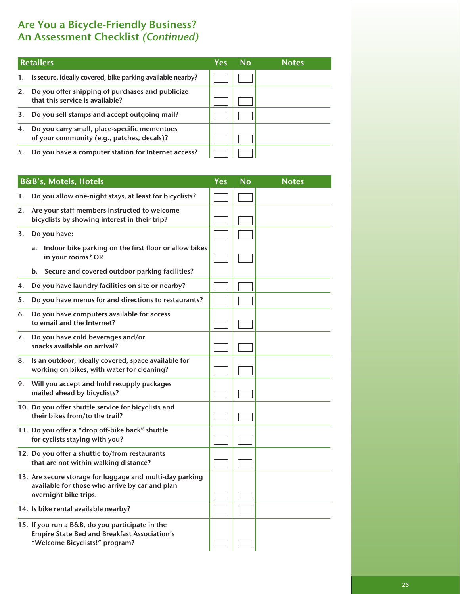## Are You a Bicycle-Friendly Business? An Assessment Checklist (Continued)

|    | <b>Retailers</b>                                                                           | Yes | No | <b>Notes</b> |
|----|--------------------------------------------------------------------------------------------|-----|----|--------------|
| 1. | Is secure, ideally covered, bike parking available nearby?                                 |     |    |              |
| 2. | Do you offer shipping of purchases and publicize<br>that this service is available?        |     |    |              |
| 3. | Do you sell stamps and accept outgoing mail?                                               |     |    |              |
| 4. | Do you carry small, place-specific mementoes<br>of your community (e.g., patches, decals)? |     |    |              |
| 5. | Do you have a computer station for Internet access?                                        |     |    |              |

|    | B&B's, Motels, Hotels                                                                                                                    | Yes | <b>No</b> | <b>Notes</b> |
|----|------------------------------------------------------------------------------------------------------------------------------------------|-----|-----------|--------------|
| 1. | Do you allow one-night stays, at least for bicyclists?                                                                                   |     |           |              |
| 2. | Are your staff members instructed to welcome<br>bicyclists by showing interest in their trip?                                            |     |           |              |
| 3. | Do you have:                                                                                                                             |     |           |              |
|    | Indoor bike parking on the first floor or allow bikes<br>a.<br>in your rooms? OR                                                         |     |           |              |
|    | Secure and covered outdoor parking facilities?<br>b.                                                                                     |     |           |              |
| 4. | Do you have laundry facilities on site or nearby?                                                                                        |     |           |              |
| 5. | Do you have menus for and directions to restaurants?                                                                                     |     |           |              |
| 6. | Do you have computers available for access<br>to email and the Internet?                                                                 |     |           |              |
| 7. | Do you have cold beverages and/or<br>snacks available on arrival?                                                                        |     |           |              |
| 8. | Is an outdoor, ideally covered, space available for<br>working on bikes, with water for cleaning?                                        |     |           |              |
| 9. | Will you accept and hold resupply packages<br>mailed ahead by bicyclists?                                                                |     |           |              |
|    | 10. Do you offer shuttle service for bicyclists and<br>their bikes from/to the trail?                                                    |     |           |              |
|    | 11. Do you offer a "drop off-bike back" shuttle<br>for cyclists staying with you?                                                        |     |           |              |
|    | 12. Do you offer a shuttle to/from restaurants<br>that are not within walking distance?                                                  |     |           |              |
|    | 13. Are secure storage for luggage and multi-day parking<br>available for those who arrive by car and plan<br>overnight bike trips.      |     |           |              |
|    | 14. Is bike rental available nearby?                                                                                                     |     |           |              |
|    | 15. If you run a B&B, do you participate in the<br><b>Empire State Bed and Breakfast Association's</b><br>"Welcome Bicyclists!" program? |     |           |              |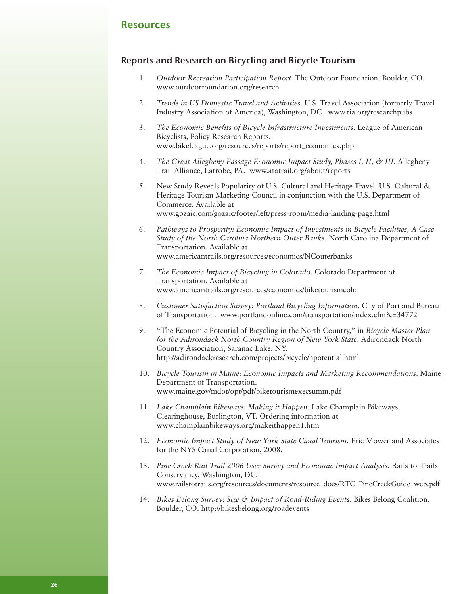#### Resources

#### Reports and Research on Bicycling and Bicycle Tourism

- 1. *Outdoor Recreation Participation Report*. The Outdoor Foundation, Boulder, CO. www.outdoorfoundation.org/research
- 2. *Trends in US Domestic Travel and Activities*. U.S. Travel Association (formerly Travel Industry Association of America), Washington, DC. www.tia.org/researchpubs
- 3. *The Economic Benefits of Bicycle Infrastructure Investments*. League of American Bicyclists, Policy Research Reports. www.bikeleague.org/resources/reports/report\_economics.php
- 4. *The Great Allegheny Passage Economic Impact Study, Phases I, II, & III*. Allegheny Trail Alliance, Latrobe, PA. www.atatrail.org/about/reports
- 5. New Study Reveals Popularity of U.S. Cultural and Heritage Travel. U.S. Cultural & Heritage Tourism Marketing Council in conjunction with the U.S. Department of Commerce. Available at www.gozaic.com/gozaic/footer/left/press-room/media-landing-page.html
- 6. *Pathways to Prosperity: Economic Impact of Investments in Bicycle Facilities, A Case Study of the North Carolina Northern Outer Banks*. North Carolina Department of Transportation. Available at www.americantrails.org/resources/economics/NCouterbanks
- 7. *The Economic Impact of Bicycling in Colorado*. Colorado Department of Transportation. Available at www.americantrails.org/resources/economics/biketourismcolo
- 8. *Customer Satisfaction Survey: Portland Bicycling Information*. City of Portland Bureau of Transportation. www.portlandonline.com/transportation/index.cfm?c=34772
- 9. "The Economic Potential of Bicycling in the North Country," in *Bicycle Master Plan for the Adirondack North Country Region of New York State*. Adirondack North Country Association, Saranac Lake, NY. http://adirondackresearch.com/projects/bicycle/hpotential.html
- 10. *Bicycle Tourism in Maine: Economic Impacts and Marketing Recommendations*. Maine Department of Transportation. www.maine.gov/mdot/opt/pdf/biketourismexecsumm.pdf
- 11. *Lake Champlain Bikeways: Making it Happen*. Lake Champlain Bikeways Clearinghouse, Burlington, VT. Ordering information at www.champlainbikeways.org/makeithappen1.htm
- 12. *Economic Impact Study of New York State Canal Tourism*. Eric Mower and Associates for the NYS Canal Corporation, 2008.
- 13. *Pine Creek Rail Trail 2006 User Survey and Economic Impact Analysis*. Rails-to-Trails Conservancy, Washington, DC. www.railstotrails.org/resources/documents/resource\_docs/RTC\_PineCreekGuide\_web.pdf
- 14. *Bikes Belong Survey: Size & Impact of Road-Riding Events*. Bikes Belong Coalition, Boulder, CO. http://bikesbelong.org/roadevents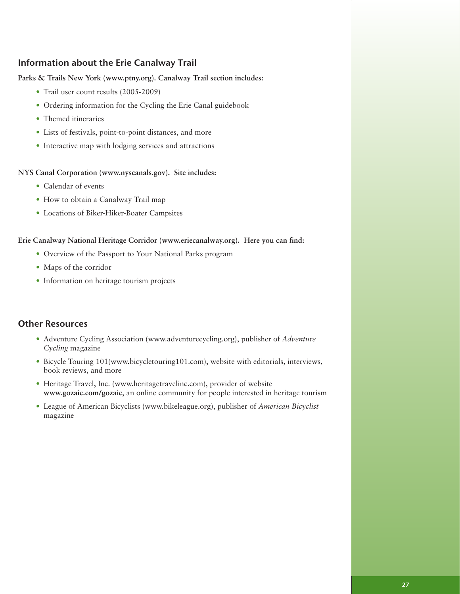#### Information about the Erie Canalway Trail

#### **Parks & Trails New York (www.ptny.org). Canalway Trail section includes:**

- Trail user count results (2005-2009)
- Ordering information for the Cycling the Erie Canal guidebook
- Themed itineraries
- Lists of festivals, point-to-point distances, and more
- Interactive map with lodging services and attractions

**NYS Canal Corporation (www.nyscanals.gov). Site includes:**

- Calendar of events
- How to obtain a Canalway Trail map
- Locations of Biker-Hiker-Boater Campsites

#### **Erie Canalway National Heritage Corridor (www.eriecanalway.org). Here you can find:**

- Overview of the Passport to Your National Parks program
- Maps of the corridor
- Information on heritage tourism projects

#### Other Resources

- Adventure Cycling Association (www.adventurecycling.org), publisher of *Adventure Cycling* magazine
- Bicycle Touring 101(www.bicycletouring101.com), website with editorials, interviews, book reviews, and more
- Heritage Travel, Inc. (www.heritagetravelinc.com), provider of website **www.gozaic.com/gozaic**, an online community for people interested in heritage tourism
- League of American Bicyclists (www.bikeleague.org), publisher of *American Bicyclist* magazine